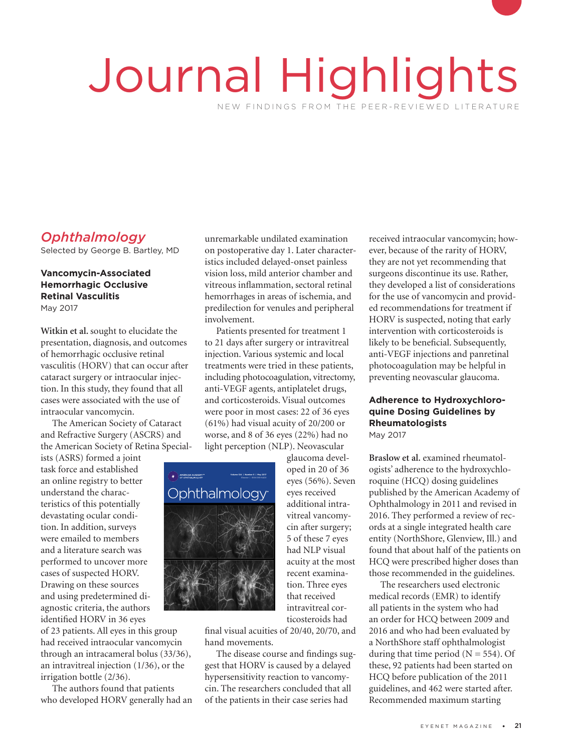# Journal Highlights NEW FINDINGS FROM THE PEER-REVIEWED LITERATURE

# *Ophthalmology*

Selected by George B. Bartley, MD

#### **Vancomycin-Associated Hemorrhagic Occlusive Retinal Vasculitis** May 2017

**Witkin et al.** sought to elucidate the presentation, diagnosis, and outcomes of hemorrhagic occlusive retinal vasculitis (HORV) that can occur after cataract surgery or intraocular injection. In this study, they found that all cases were associated with the use of intraocular vancomycin.

The American Society of Cataract and Refractive Surgery (ASCRS) and the American Society of Retina Special-

ists (ASRS) formed a joint task force and established an online registry to better understand the characteristics of this potentially devastating ocular condition. In addition, surveys<br>were emailed to members<br>and a literature search wa were emailed to members and a literature search was performed to uncover more cases of suspected HORV. Drawing on these sources and using predetermined diagnostic criteria, the authors

of 23 patients. All eyes in this group had received intraocular vancomycin through an intracameral bolus (33/36), an intravitreal injection (1/36), or the irrigation bottle (2/36).

The authors found that patients who developed HORV generally had an

unremarkable undilated examination on postoperative day 1. Later characteristics included delayed-onset painless vision loss, mild anterior chamber and vitreous inflammation, sectoral retinal hemorrhages in areas of ischemia, and predilection for venules and peripheral involvement.

Patients presented for treatment 1 to 21 days after surgery or intravitreal injection. Various systemic and local treatments were tried in these patients, including photocoagulation, vitrectomy, anti-VEGF agents, antiplatelet drugs, and corticosteroids. Visual outcomes were poor in most cases: 22 of 36 eyes (61%) had visual acuity of 20/200 or worse, and 8 of 36 eyes (22%) had no light perception (NLP). Neovascular glaucoma devel-

> oped in 20 of 36 eyes (56%). Seven eyes received additional intravitreal vancomycin after surgery; 5 of these 7 eyes had NLP visual acuity at the most recent examination. Three eyes that received intravitreal corticosteroids had



final visual acuities of 20/40, 20/70, and hand movements.

The disease course and findings suggest that HORV is caused by a delayed hypersensitivity reaction to vancomycin. The researchers concluded that all of the patients in their case series had

received intraocular vancomycin; however, because of the rarity of HORV, they are not yet recommending that surgeons discontinue its use. Rather, they developed a list of considerations for the use of vancomycin and provided recommendations for treatment if HORV is suspected, noting that early intervention with corticosteroids is likely to be beneficial. Subsequently, anti-VEGF injections and panretinal photocoagulation may be helpful in preventing neovascular glaucoma.

# **Adherence to Hydroxychloroquine Dosing Guidelines by Rheumatologists**

May 2017

**Braslow et al.** examined rheumatologists' adherence to the hydroxychloroquine (HCQ) dosing guidelines published by the American Academy of Ophthalmology in 2011 and revised in 2016. They performed a review of records at a single integrated health care entity (NorthShore, Glenview, Ill.) and found that about half of the patients on HCQ were prescribed higher doses than those recommended in the guidelines.

The researchers used electronic medical records (EMR) to identify all patients in the system who had an order for HCQ between 2009 and 2016 and who had been evaluated by a NorthShore staff ophthalmologist during that time period  $(N = 554)$ . Of these, 92 patients had been started on HCQ before publication of the 2011 guidelines, and 462 were started after. Recommended maximum starting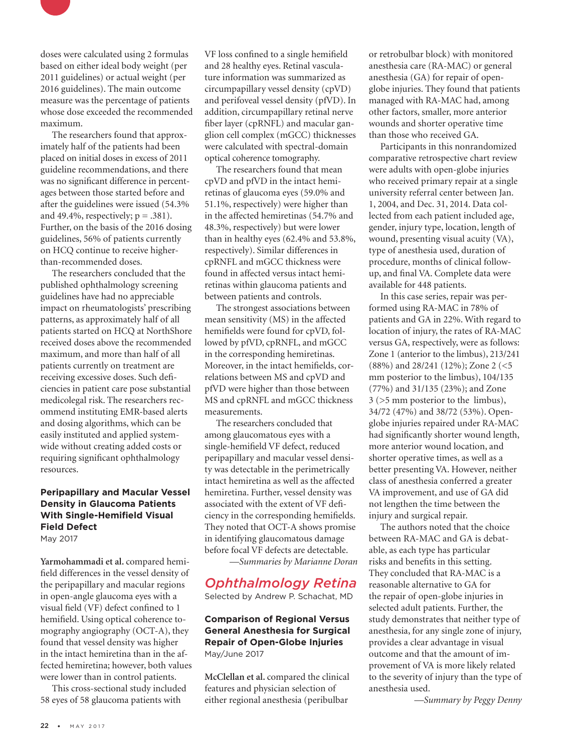

The researchers found that approximately half of the patients had been placed on initial doses in excess of 2011 guideline recommendations, and there was no significant difference in percentages between those started before and after the guidelines were issued (54.3% and 49.4%, respectively;  $p = .381$ ). Further, on the basis of the 2016 dosing guidelines, 56% of patients currently on HCQ continue to receive higherthan-recommended doses.

The researchers concluded that the published ophthalmology screening guidelines have had no appreciable impact on rheumatologists' prescribing patterns, as approximately half of all patients started on HCQ at NorthShore received doses above the recommended maximum, and more than half of all patients currently on treatment are receiving excessive doses. Such deficiencies in patient care pose substantial medicolegal risk. The researchers recommend instituting EMR-based alerts and dosing algorithms, which can be easily instituted and applied systemwide without creating added costs or requiring significant ophthalmology resources.

## **Peripapillary and Macular Vessel Density in Glaucoma Patients With Single-Hemifield Visual Field Defect**

May 2017

**Yarmohammadi et al.** compared hemifield differences in the vessel density of the peripapillary and macular regions in open-angle glaucoma eyes with a visual field (VF) defect confined to 1 hemifield. Using optical coherence tomography angiography (OCT-A), they found that vessel density was higher in the intact hemiretina than in the affected hemiretina; however, both values were lower than in control patients.

This cross-sectional study included 58 eyes of 58 glaucoma patients with

VF loss confined to a single hemifield and 28 healthy eyes. Retinal vasculature information was summarized as circumpapillary vessel density (cpVD) and perifoveal vessel density (pfVD). In addition, circumpapillary retinal nerve fiber layer (cpRNFL) and macular ganglion cell complex (mGCC) thicknesses were calculated with spectral-domain optical coherence tomography.

The researchers found that mean cpVD and pfVD in the intact hemiretinas of glaucoma eyes (59.0% and 51.1%, respectively) were higher than in the affected hemiretinas (54.7% and 48.3%, respectively) but were lower than in healthy eyes (62.4% and 53.8%, respectively). Similar differences in cpRNFL and mGCC thickness were found in affected versus intact hemiretinas within glaucoma patients and between patients and controls.

The strongest associations between mean sensitivity (MS) in the affected hemifields were found for cpVD, followed by pfVD, cpRNFL, and mGCC in the corresponding hemiretinas. Moreover, in the intact hemifields, correlations between MS and cpVD and pfVD were higher than those between MS and cpRNFL and mGCC thickness measurements.

The researchers concluded that among glaucomatous eyes with a single-hemifield VF defect, reduced peripapillary and macular vessel density was detectable in the perimetrically intact hemiretina as well as the affected hemiretina. Further, vessel density was associated with the extent of VF deficiency in the corresponding hemifields. They noted that OCT-A shows promise in identifying glaucomatous damage before focal VF defects are detectable.

*—Summaries by Marianne Doran*

# *Ophthalmology Retina*

Selected by Andrew P. Schachat, MD

#### **Comparison of Regional Versus General Anesthesia for Surgical Repair of Open-Globe Injuries** May/June 2017

**McClellan et al.** compared the clinical features and physician selection of either regional anesthesia (peribulbar

or retrobulbar block) with monitored anesthesia care (RA-MAC) or general anesthesia (GA) for repair of openglobe injuries. They found that patients managed with RA-MAC had, among other factors, smaller, more anterior wounds and shorter operative time than those who received GA.

Participants in this nonrandomized comparative retrospective chart review were adults with open-globe injuries who received primary repair at a single university referral center between Jan. 1, 2004, and Dec. 31, 2014. Data collected from each patient included age, gender, injury type, location, length of wound, presenting visual acuity (VA), type of anesthesia used, duration of procedure, months of clinical followup, and final VA. Complete data were available for 448 patients.

In this case series, repair was performed using RA-MAC in 78% of patients and GA in 22%. With regard to location of injury, the rates of RA-MAC versus GA, respectively, were as follows: Zone 1 (anterior to the limbus), 213/241 (88%) and 28/241 (12%); Zone 2 (<5 mm posterior to the limbus), 104/135 (77%) and 31/135 (23%); and Zone 3 (>5 mm posterior to the limbus), 34/72 (47%) and 38/72 (53%). Openglobe injuries repaired under RA-MAC had significantly shorter wound length, more anterior wound location, and shorter operative times, as well as a better presenting VA. However, neither class of anesthesia conferred a greater VA improvement, and use of GA did not lengthen the time between the injury and surgical repair.

The authors noted that the choice between RA-MAC and GA is debatable, as each type has particular risks and benefits in this setting. They concluded that RA-MAC is a reasonable alternative to GA for the repair of open-globe injuries in selected adult patients. Further, the study demonstrates that neither type of anesthesia, for any single zone of injury, provides a clear advantage in visual outcome and that the amount of improvement of VA is more likely related to the severity of injury than the type of anesthesia used.

*—Summary by Peggy Denny*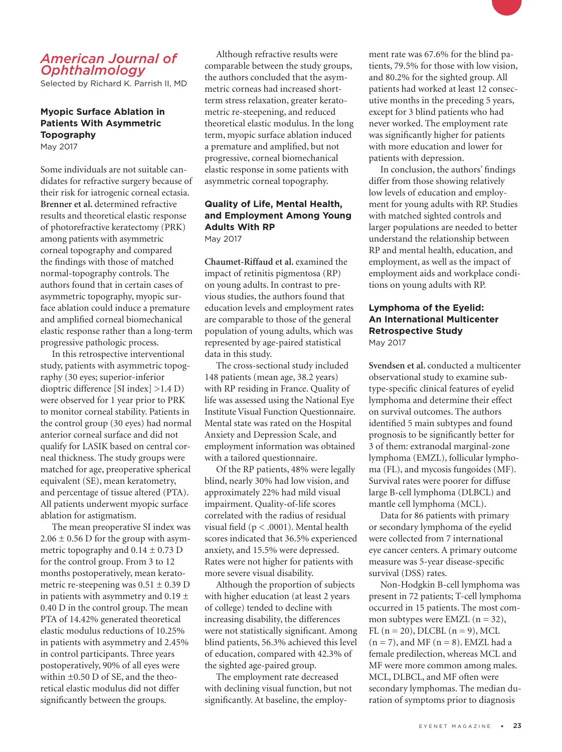## *American Journal of Ophthalmology*

Selected by Richard K. Parrish II, MD

## **Myopic Surface Ablation in Patients With Asymmetric Topography**

May 2017

Some individuals are not suitable candidates for refractive surgery because of their risk for iatrogenic corneal ectasia. **Brenner et al.** determined refractive results and theoretical elastic response of photorefractive keratectomy (PRK) among patients with asymmetric corneal topography and compared the findings with those of matched normal-topography controls. The authors found that in certain cases of asymmetric topography, myopic surface ablation could induce a premature and amplified corneal biomechanical elastic response rather than a long-term progressive pathologic process.

In this retrospective interventional study, patients with asymmetric topography (30 eyes; superior-inferior dioptric difference [SI index] >1.4 D) were observed for 1 year prior to PRK to monitor corneal stability. Patients in the control group (30 eyes) had normal anterior corneal surface and did not qualify for LASIK based on central corneal thickness. The study groups were matched for age, preoperative spherical equivalent (SE), mean keratometry, and percentage of tissue altered (PTA). All patients underwent myopic surface ablation for astigmatism.

The mean preoperative SI index was  $2.06 \pm 0.56$  D for the group with asymmetric topography and  $0.14 \pm 0.73$  D for the control group. From 3 to 12 months postoperatively, mean keratometric re-steepening was  $0.51 \pm 0.39$  D in patients with asymmetry and  $0.19 \pm$ 0.40 D in the control group. The mean PTA of 14.42% generated theoretical elastic modulus reductions of 10.25% in patients with asymmetry and 2.45% in control participants. Three years postoperatively, 90% of all eyes were within ±0.50 D of SE, and the theoretical elastic modulus did not differ significantly between the groups.

Although refractive results were comparable between the study groups, the authors concluded that the asymmetric corneas had increased shortterm stress relaxation, greater keratometric re-steepening, and reduced theoretical elastic modulus. In the long term, myopic surface ablation induced a premature and amplified, but not progressive, corneal biomechanical elastic response in some patients with asymmetric corneal topography.

#### **Quality of Life, Mental Health, and Employment Among Young Adults With RP** May 2017

**Chaumet-Riffaud et al.** examined the impact of retinitis pigmentosa (RP) on young adults. In contrast to previous studies, the authors found that education levels and employment rates are comparable to those of the general population of young adults, which was represented by age-paired statistical data in this study.

The cross-sectional study included 148 patients (mean age, 38.2 years) with RP residing in France. Quality of life was assessed using the National Eye Institute Visual Function Questionnaire. Mental state was rated on the Hospital Anxiety and Depression Scale, and employment information was obtained with a tailored questionnaire.

Of the RP patients, 48% were legally blind, nearly 30% had low vision, and approximately 22% had mild visual impairment. Quality-of-life scores correlated with the radius of residual visual field (p < .0001). Mental health scores indicated that 36.5% experienced anxiety, and 15.5% were depressed. Rates were not higher for patients with more severe visual disability.

Although the proportion of subjects with higher education (at least 2 years of college) tended to decline with increasing disability, the differences were not statistically significant. Among blind patients, 56.3% achieved this level of education, compared with 42.3% of the sighted age-paired group.

The employment rate decreased with declining visual function, but not significantly. At baseline, the employment rate was 67.6% for the blind patients, 79.5% for those with low vision, and 80.2% for the sighted group. All patients had worked at least 12 consecutive months in the preceding 5 years, except for 3 blind patients who had never worked. The employment rate was significantly higher for patients with more education and lower for patients with depression.

In conclusion, the authors' findings differ from those showing relatively low levels of education and employment for young adults with RP. Studies with matched sighted controls and larger populations are needed to better understand the relationship between RP and mental health, education, and employment, as well as the impact of employment aids and workplace conditions on young adults with RP.

#### **Lymphoma of the Eyelid: An International Multicenter Retrospective Study** May 2017

**Svendsen et al.** conducted a multicenter observational study to examine subtype-specific clinical features of eyelid lymphoma and determine their effect on survival outcomes. The authors identified 5 main subtypes and found prognosis to be significantly better for 3 of them: extranodal marginal-zone lymphoma (EMZL), follicular lymphoma (FL), and mycosis fungoides (MF). Survival rates were poorer for diffuse large B-cell lymphoma (DLBCL) and mantle cell lymphoma (MCL).

Data for 86 patients with primary or secondary lymphoma of the eyelid were collected from 7 international eye cancer centers. A primary outcome measure was 5-year disease-specific survival (DSS) rates.

Non-Hodgkin B-cell lymphoma was present in 72 patients; T-cell lymphoma occurred in 15 patients. The most common subtypes were EMZL  $(n = 32)$ , FL  $(n = 20)$ , DLCBL  $(n = 9)$ , MCL  $(n = 7)$ , and MF  $(n = 8)$ . EMZL had a female predilection, whereas MCL and MF were more common among males. MCL, DLBCL, and MF often were secondary lymphomas. The median duration of symptoms prior to diagnosis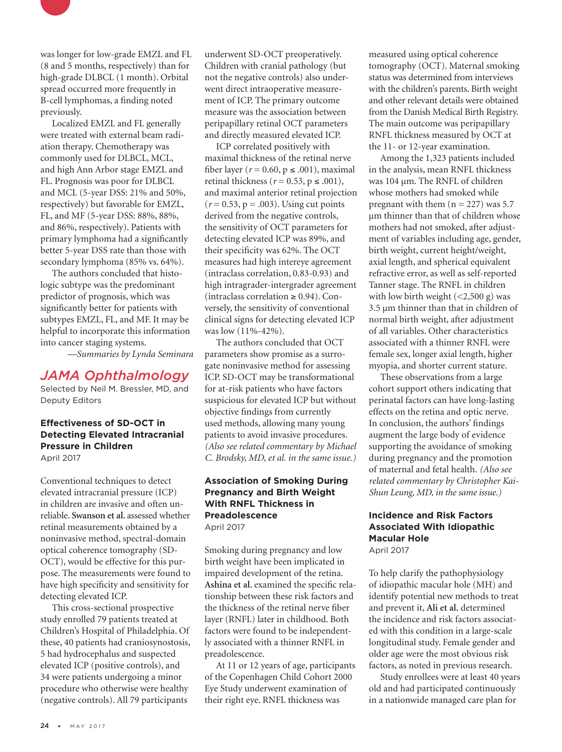

was longer for low-grade EMZL and FL (8 and 5 months, respectively) than for high-grade DLBCL (1 month). Orbital spread occurred more frequently in B-cell lymphomas, a finding noted previously.

Localized EMZL and FL generally were treated with external beam radiation therapy. Chemotherapy was commonly used for DLBCL, MCL, and high Ann Arbor stage EMZL and FL. Prognosis was poor for DLBCL and MCL (5-year DSS: 21% and 50%, respectively) but favorable for EMZL, FL, and MF (5-year DSS: 88%, 88%, and 86%, respectively). Patients with primary lymphoma had a significantly better 5-year DSS rate than those with secondary lymphoma (85% vs. 64%).

The authors concluded that histologic subtype was the predominant predictor of prognosis, which was significantly better for patients with subtypes EMZL, FL, and MF. It may be helpful to incorporate this information into cancer staging systems.

*—Summaries by Lynda Seminara*

## *JAMA Ophthalmology*

Selected by Neil M. Bressler, MD, and Deputy Editors

#### **Effectiveness of SD-OCT in Detecting Elevated Intracranial Pressure in Children** April 2017

Conventional techniques to detect elevated intracranial pressure (ICP) in children are invasive and often unreliable. **Swanson et al.** assessed whether retinal measurements obtained by a noninvasive method, spectral-domain optical coherence tomography (SD-OCT), would be effective for this purpose. The measurements were found to have high specificity and sensitivity for detecting elevated ICP.

This cross-sectional prospective study enrolled 79 patients treated at Children's Hospital of Philadelphia. Of these, 40 patients had craniosynostosis, 5 had hydrocephalus and suspected elevated ICP (positive controls), and 34 were patients undergoing a minor procedure who otherwise were healthy (negative controls). All 79 participants

underwent SD-OCT preoperatively. Children with cranial pathology (but not the negative controls) also underwent direct intraoperative measurement of ICP. The primary outcome measure was the association between peripapillary retinal OCT parameters and directly measured elevated ICP.

ICP correlated positively with maximal thickness of the retinal nerve fiber layer ( $r = 0.60$ ,  $p \le .001$ ), maximal retinal thickness ( $r = 0.53$ ,  $p \le .001$ ), and maximal anterior retinal projection  $(r = 0.53, p = .003)$ . Using cut points derived from the negative controls, the sensitivity of OCT parameters for detecting elevated ICP was 89%, and their specificity was 62%. The OCT measures had high intereye agreement (intraclass correlation, 0.83-0.93) and high intragrader-intergrader agreement (intraclass correlation ≥ 0.94). Conversely, the sensitivity of conventional clinical signs for detecting elevated ICP was low (11%-42%).

The authors concluded that OCT parameters show promise as a surrogate noninvasive method for assessing ICP. SD-OCT may be transformational for at-risk patients who have factors suspicious for elevated ICP but without objective findings from currently used methods, allowing many young patients to avoid invasive procedures. *(Also see related commentary by Michael C. Brodsky, MD, et al. in the same issue.)*

#### **Association of Smoking During Pregnancy and Birth Weight With RNFL Thickness in Preadolescence** April 2017

Smoking during pregnancy and low birth weight have been implicated in impaired development of the retina. **Ashina et al.** examined the specific relationship between these risk factors and the thickness of the retinal nerve fiber layer (RNFL) later in childhood. Both factors were found to be independently associated with a thinner RNFL in preadolescence.

At 11 or 12 years of age, participants of the Copenhagen Child Cohort 2000 Eye Study underwent examination of their right eye. RNFL thickness was

measured using optical coherence tomography (OCT). Maternal smoking status was determined from interviews with the children's parents. Birth weight and other relevant details were obtained from the Danish Medical Birth Registry. The main outcome was peripapillary RNFL thickness measured by OCT at the 11- or 12-year examination.

Among the 1,323 patients included in the analysis, mean RNFL thickness was 104 μm. The RNFL of children whose mothers had smoked while pregnant with them  $(n = 227)$  was 5.7 μm thinner than that of children whose mothers had not smoked, after adjustment of variables including age, gender, birth weight, current height/weight, axial length, and spherical equivalent refractive error, as well as self-reported Tanner stage. The RNFL in children with low birth weight (<2,500 g) was 3.5 μm thinner than that in children of normal birth weight, after adjustment of all variables. Other characteristics associated with a thinner RNFL were female sex, longer axial length, higher myopia, and shorter current stature.

These observations from a large cohort support others indicating that perinatal factors can have long-lasting effects on the retina and optic nerve. In conclusion, the authors' findings augment the large body of evidence supporting the avoidance of smoking during pregnancy and the promotion of maternal and fetal health. *(Also see related commentary by Christopher Kai-Shun Leung, MD, in the same issue.)*

## **Incidence and Risk Factors Associated With Idiopathic Macular Hole**

April 2017

To help clarify the pathophysiology of idiopathic macular hole (MH) and identify potential new methods to treat and prevent it, **Ali et al.** determined the incidence and risk factors associated with this condition in a large-scale longitudinal study. Female gender and older age were the most obvious risk factors, as noted in previous research.

Study enrollees were at least 40 years old and had participated continuously in a nationwide managed care plan for